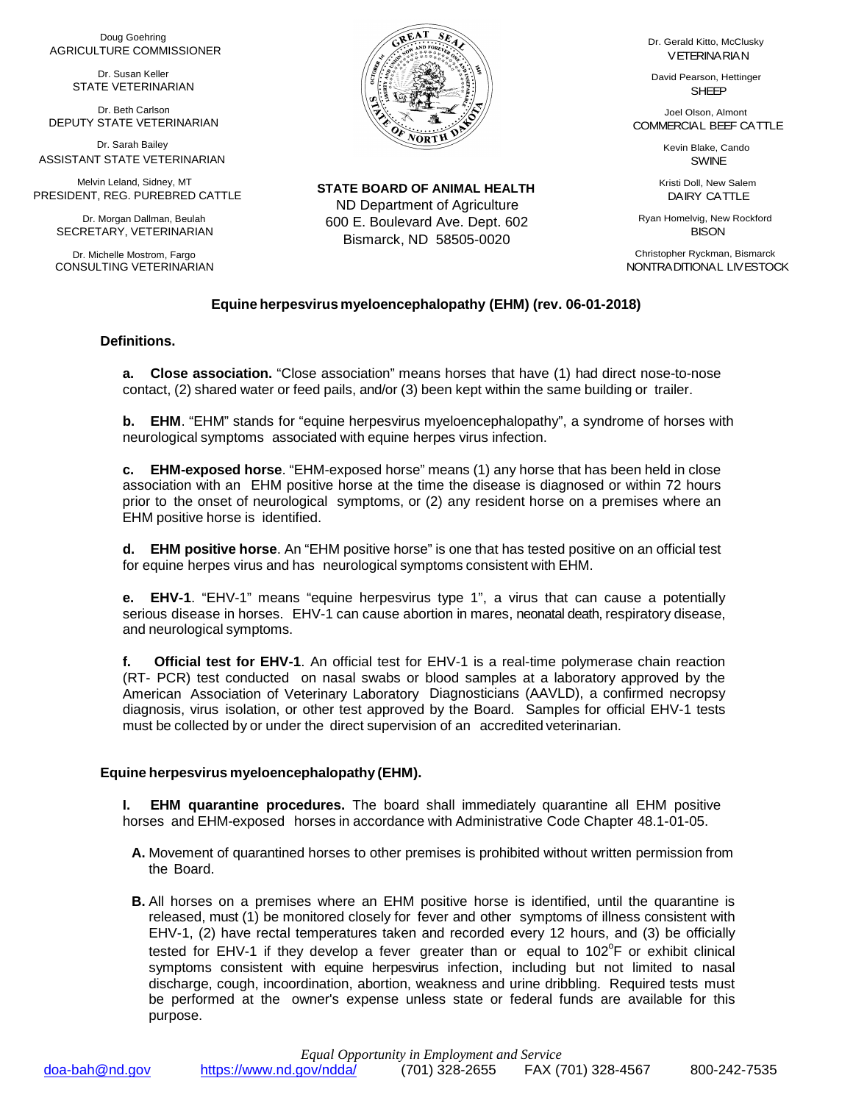Doug Goehring AGRICULTURE COMMISSIONER

> Dr. Susan Keller STATE VETERINARIAN

Dr. Beth Carlson DEPUTY STATE VETERINARIAN

 ASSISTANT STATE VETERINARIAN Dr. Sarah Bailey

Melvin Leland, Sidney, MT PRESIDENT, REG. PUREBRED CATTLE

Dr. Morgan Dallman, Beulah SECRETARY, VETERINARIAN

Dr. Michelle Mostrom, Fargo CONSULTING VETERINARIAN



**STATE BOARD OF ANIMAL HEALTH** ND Department of Agriculture 600 E. Boulevard Ave. Dept. 602 Bismarck, ND 58505-0020

Dr. Gerald Kitto, McClusky VETERINARIAN

David Pearson, Hettinger SHEEP

Joel Olson, Almont COMMERCIAL BEEF CATTLE

> Kevin Blake, Cando SWINE

Kristi Doll, New Salem DAIRY CATTLE

Ryan Homelvig, New Rockford **BISON** 

Christopher Ryckman, Bismarck NONTRADITIONAL LIVESTOCK

## **Equine herpesvirus myeloencephalopathy (EHM) (rev. 06-01-2018)**

## **Definitions.**

**a. Close association.** "Close association" means horses that have (1) had direct nose-to-nose contact, (2) shared water or feed pails, and/or (3) been kept within the same building or trailer.

**b. EHM**. "EHM" stands for "equine herpesvirus myeloencephalopathy", a syndrome of horses with neurological symptoms associated with equine herpes virus infection.

**c. EHM-exposed horse**. "EHM-exposed horse" means (1) any horse that has been held in close association with an EHM positive horse at the time the disease is diagnosed or within 72 hours prior to the onset of neurological symptoms, or (2) any resident horse on a premises where an EHM positive horse is identified.

**d. EHM positive horse**. An "EHM positive horse" is one that has tested positive on an official test for equine herpes virus and has neurological symptoms consistent with EHM.

**e. EHV-1**. "EHV-1" means "equine herpesvirus type 1", a virus that can cause a potentially serious disease in horses. EHV-1 can cause abortion in mares, neonatal death, respiratory disease, and neurological symptoms.

**f. Official test for EHV-1**. An official test for EHV-1 is a real-time polymerase chain reaction (RT- PCR) test conducted on nasal swabs or blood samples at a laboratory approved by the American Association of Veterinary Laboratory Diagnosticians (AAVLD), a confirmed necropsy diagnosis, virus isolation, or other test approved by the Board. Samples for official EHV-1 tests must be collected by or under the direct supervision of an accredited veterinarian.

## **Equine herpesvirus myeloencephalopathy (EHM).**

**I. EHM quarantine procedures.** The board shall immediately quarantine all EHM positive horses and EHM-exposed horses in accordance with Administrative Code Chapter 48.1-01-05.

- **A.** Movement of quarantined horses to other premises is prohibited without written permission from the Board.
- **B.** All horses on a premises where an EHM positive horse is identified, until the quarantine is released, must (1) be monitored closely for fever and other symptoms of illness consistent with EHV-1, (2) have rectal temperatures taken and recorded every 12 hours, and (3) be officially tested for EHV-1 if they develop a fever greater than or equal to  $102^{\circ}$ F or exhibit clinical symptoms consistent with equine herpesvirus infection, including but not limited to nasal discharge, cough, incoordination, abortion, weakness and urine dribbling. Required tests must be performed at the owner's expense unless state or federal funds are available for this purpose.